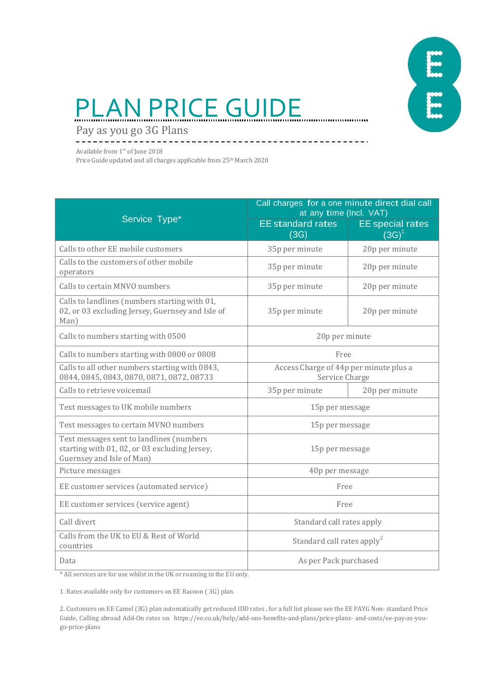

# PLAN PRICE GUIDE

<u>\_\_\_\_\_\_\_\_\_\_\_\_\_\_\_\_\_</u>

Pay as you go 3G Plans

Available from 1<sup>st</sup> of June 2018

Price Guide updated and all charges applicable from 25th March 2020

|                                                                                                                        | Call charges for a one minute direct dial call<br>at any time (Incl. VAT) |                                       |  |
|------------------------------------------------------------------------------------------------------------------------|---------------------------------------------------------------------------|---------------------------------------|--|
| Service Type*                                                                                                          | <b>EE</b> standard rates<br>(3G)                                          | <b>EE</b> special rates<br>$(3G)^{1}$ |  |
| Calls to other EE mobile customers                                                                                     | 35p per minute                                                            | 20p per minute                        |  |
| Calls to the customers of other mobile<br>operators                                                                    | 35p per minute                                                            | 20p per minute                        |  |
| Calls to certain MNVO numbers                                                                                          | 35p per minute                                                            | 20p per minute                        |  |
| Calls to landlines (numbers starting with 01,<br>02, or 03 excluding Jersey, Guernsey and Isle of<br>Man)              | 35p per minute                                                            | 20p per minute                        |  |
| Calls to numbers starting with 0500                                                                                    | 20p per minute                                                            |                                       |  |
| Calls to numbers starting with 0800 or 0808                                                                            | Free                                                                      |                                       |  |
| Calls to all other numbers starting with 0843,<br>0844, 0845, 0843, 0870, 0871, 0872, 08733                            | Access Charge of 44p per minute plus a<br>Service Charge                  |                                       |  |
| Calls to retrieve voicemail                                                                                            | 35p per minute                                                            | 20p per minute                        |  |
| Text messages to UK mobile numbers                                                                                     | 15p per message                                                           |                                       |  |
| Text messages to certain MVNO numbers                                                                                  | 15p per message                                                           |                                       |  |
| Text messages sent to landlines (numbers<br>starting with 01, 02, or 03 excluding Jersey,<br>Guernsey and Isle of Man) | 15p per message                                                           |                                       |  |
| Picture messages                                                                                                       | 40p per message                                                           |                                       |  |
| EE customer services (automated service)                                                                               | Free                                                                      |                                       |  |
| EE customer services (service agent)                                                                                   | Free                                                                      |                                       |  |
| Call divert                                                                                                            | Standard call rates apply                                                 |                                       |  |
| Calls from the UK to EU & Rest of World<br>countries                                                                   | Standard call rates apply <sup>2</sup>                                    |                                       |  |
| Data                                                                                                                   | As per Pack purchased                                                     |                                       |  |

\* All services are for use whilst in the UK or roaming in the EU only.

1. Rates available only for customers on EE Racoon ( 3G) plan.

2. Customers on EE Camel (3G) plan automatically get reduced IDD rates , for a full list please see the EE PAYG Non- standard Price Guide, Calling abroad Add-On rates on https://ee.co.uk/help/add-ons-benefits-and-plans/price-plans- and-costs/ee-pay-as-yougo-price-plans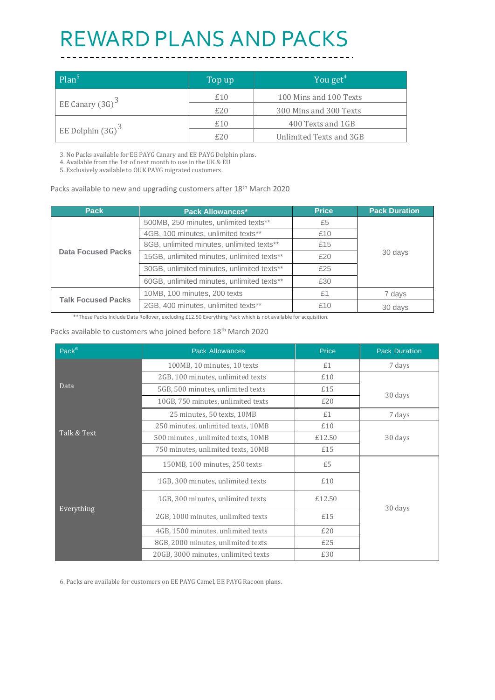### REWARD PLANS AND PACKS

| $Plan^5$            | Top up | You get <sup><math>4</math></sup> |
|---------------------|--------|-----------------------------------|
|                     | £10    | 100 Mins and 100 Texts            |
| EE Canary $(3G)^3$  | £20    | 300 Mins and 300 Texts            |
|                     | £10    | 400 Texts and 1GB                 |
| EE Dolphin $(3G)^3$ | £20    | Unlimited Texts and 3GB           |

3. No Packs available for EE PAYG Canary and EE PAYG Dolphin plans.

4. Available from the 1st of next month to use in the UK & EU

5. Exclusively available to OUK PAYG migrated customers.

#### Packs available to new and upgrading customers after 18<sup>th</sup> March 2020

| <b>Pack</b>               | <b>Pack Allowances*</b>                    | <b>Price</b> | <b>Pack Duration</b> |
|---------------------------|--------------------------------------------|--------------|----------------------|
| <b>Data Focused Packs</b> | 500MB, 250 minutes, unlimited texts**      | £5           | 30 days              |
|                           | 4GB, 100 minutes, unlimited texts**        | £10          |                      |
|                           | 8GB, unlimited minutes, unlimited texts**  | £15          |                      |
|                           | 15GB, unlimited minutes, unlimited texts** | £20          |                      |
|                           | 30GB, unlimited minutes, unlimited texts** | £25          |                      |
|                           | 60GB, unlimited minutes, unlimited texts** | £30          |                      |
| <b>Talk Focused Packs</b> | 10MB, 100 minutes, 200 texts               | £1           | 7 days               |
|                           | 2GB, 400 minutes, unlimited texts**        | £10          | 30 days              |

\*\*These Packs Include Data Rollover, excluding £12.50 Everything Pack which is not available for acquisition.

#### Packs available to customers who joined before 18<sup>th</sup> March 2020

| Pack <sup>6</sup> | <b>Pack Allowances</b>              | Price  | <b>Pack Duration</b> |
|-------------------|-------------------------------------|--------|----------------------|
| Data              | 100MB, 10 minutes, 10 texts         | £1     | 7 days               |
|                   | 2GB, 100 minutes, unlimited texts   | £10    |                      |
|                   | 5GB, 500 minutes, unlimited texts   | £15    | 30 days              |
|                   | 10GB, 750 minutes, unlimited texts  | £20    |                      |
| Talk & Text       | 25 minutes, 50 texts, 10MB          | £1     | 7 days               |
|                   | 250 minutes, unlimited texts, 10MB  | £10    |                      |
|                   | 500 minutes, unlimited texts, 10MB  | £12.50 | 30 days              |
|                   | 750 minutes, unlimited texts, 10MB  | £15    |                      |
|                   | 150MB, 100 minutes, 250 texts       | £5     |                      |
| Everything        | 1GB, 300 minutes, unlimited texts   | £10    |                      |
|                   | 1GB, 300 minutes, unlimited texts   | £12.50 |                      |
|                   | 2GB, 1000 minutes, unlimited texts  | £15    | 30 days              |
|                   | 4GB, 1500 minutes, unlimited texts  | £20    |                      |
|                   | 8GB, 2000 minutes, unlimited texts  | £25    |                      |
|                   | 20GB, 3000 minutes, unlimited texts | £30    |                      |

6. Packs are available for customers on EE PAYG Camel, EE PAYG Racoon plans.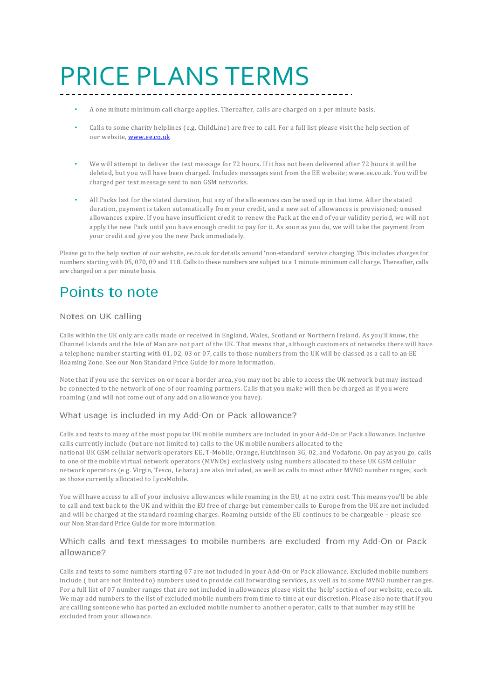## PRICE PLANS TERMS

- A one minute minimum call charge applies. Thereafter, calls are charged on a per minute basis.
- Calls to some charity helplines (e.g. ChildLine) are free to call. For a full list please visit the help section of our website[, www.ee.co.uk](http://www.ee.co.uk/)
- We will attempt to deliver the text message for 72 hours. If it has not been delivered after 72 hours it will be deleted, but you will have been charged. Includes messages sent from the EE website[; www.ee.co.uk.](http://www.ee.co.uk/) You will be charged per text message sent to non GSM networks.
- All Packs last for the stated duration, but any of the allowances can be used up in that time. After the stated duration, payment is taken automatically from your credit, and a new set of allowances is provisioned; unused allowances expire. If you have insufficient credit to renew the Pack at the end of your validity period, we will not apply the new Pack until you have enough credit to pay for it. As soon as you do, we will take the payment from your credit and give you the new Pack immediately.

Please go to the help section of our website, ee.co.uk for details around 'non-standard' service charging. This includes charges for numbers starting with 05, 070, 09 and 118. Calls to these numbers are subject to a 1 minute minimum call charge. Thereafter, calls are charged on a per minute basis.

### Points to note

#### Notes on UK calling

Calls within the UK only are calls made or received in England, Wales, Scotland or Northern Ireland. As you'll know, the Channel Islands and the Isle of Man are not part of the UK. That means that, although customers of networks there will have a telephone number starting with 01, 02, 03 or 07, calls to those numbers from the UK will be classed as a call to an EE Roaming Zone. See our Non Standard Price Guide for more information.

Note that if you use the services on or near a border area, you may not be able to access the UK network but may instead be connected to the network of one of our roaming partners. Calls that you make will then be charged as if you were roaming (and will not come out of any add on allowance you have).

#### What usage is included in my Add-On or Pack allowance?

Calls and texts to many of the most popular UK mobile numbers are included in your Add-On or Pack allowance. Inclusive calls currently include (but are not limited to) calls to the UK mobile numbers allocated to the national UK GSM cellular network operators EE, T-Mobile, Orange, Hutchinson 3G, 02, and Vodafone. On pay as you go, calls to one of the mobile virtual network operators (MVNOs) exclusively using numbers allocated to these UK GSM cellular network operators (e.g. Virgin, Tesco, Lebara) are also included, as well as calls to most other MVNO number ranges, such as those currently allocated to LycaMobile.

You will have access to all of your inclusive allowances while roaming in the EU, at no extra cost. This means you'll be able to call and text back to the UK and within the EU free of charge but remember calls to Europe from the UK are not included and will be charged at the standard roaming charges. Roaming outside of the EU continues to be chargeable - please see our Non Standard Price Guide for more information.

#### Which calls and text messages to mobile numbers are excluded from my Add-On or Pack allowance?

Calls and texts to some numbers starting 07 are not included in your Add-On or Pack allowance. Excluded mobile numbers include ( but are not limited to) numbers used to provide call forwarding services, as well as to some MVNO number ranges. For a full list of 07 number ranges that are not included in allowances please visit the 'help' section of our website, ee.co.uk. We may add numbers to the list of excluded mobile numbers from time to time at our discretion. Please also note that if you are calling someone who has ported an excluded mobile number to another operator, calls to that number may still be excluded from your allowance.